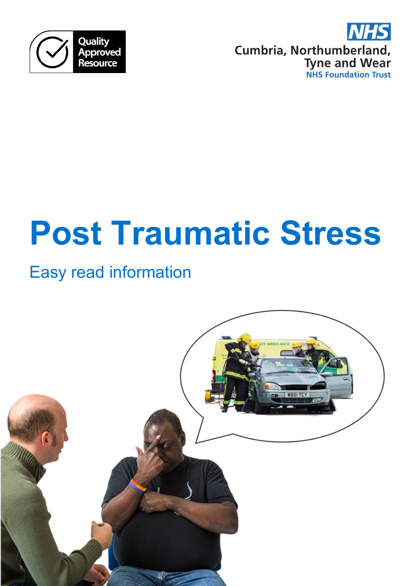



# **Post Traumatic Stress**

# Easy read information

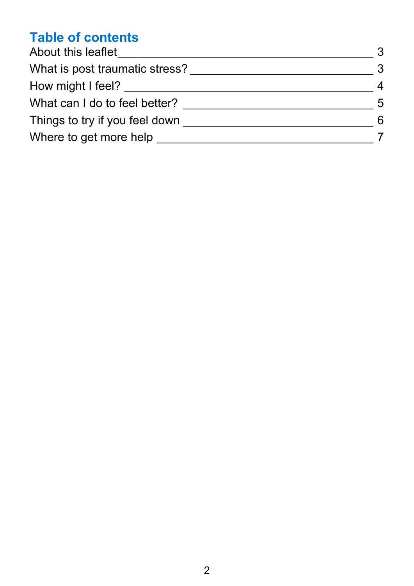# **Table of contents**

| About this leaflet             | 3 |
|--------------------------------|---|
| What is post traumatic stress? | 3 |
| How might I feel?              | 4 |
| What can I do to feel better?  | 5 |
| Things to try if you feel down | 6 |
| Where to get more help         |   |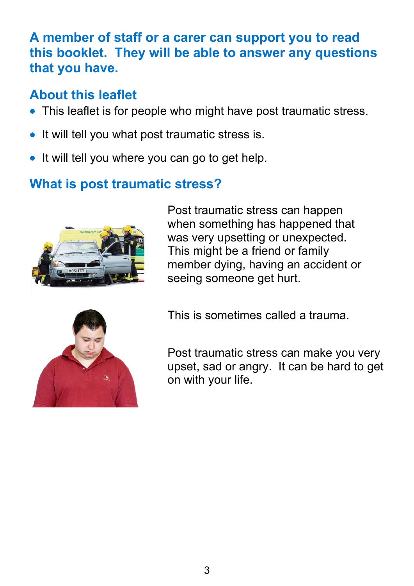# **A member of staff or a carer can support you to read this booklet. They will be able to answer any questions that you have.**

# <span id="page-2-0"></span>**About this leaflet**

- This leaflet is for people who might have post traumatic stress.
- It will tell you what post traumatic stress is.
- It will tell you where you can go to get help.

# <span id="page-2-1"></span>**What is post traumatic stress?**



Post traumatic stress can happen when something has happened that was very upsetting or unexpected. This might be a friend or family member dying, having an accident or seeing someone get hurt.



This is sometimes called a trauma.

Post traumatic stress can make you very upset, sad or angry. It can be hard to get on with your life.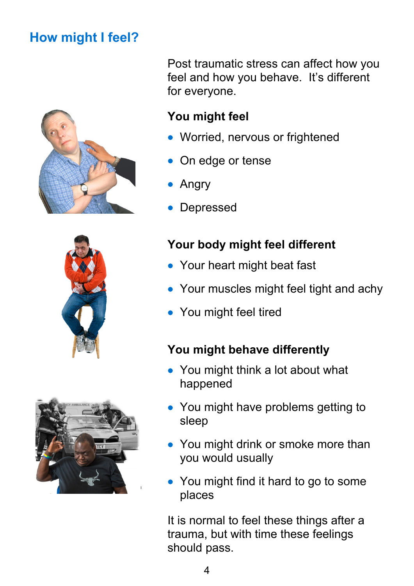# <span id="page-3-0"></span>**How might I feel?**







Post traumatic stress can affect how you feel and how you behave. It's different for everyone.

# **You might feel**

- Worried, nervous or frightened
- On edge or tense
- Angry
- **Depressed**

## **Your body might feel different**

- Your heart might beat fast
- Your muscles might feel tight and achy
- You might feel tired

#### **You might behave differently**

- You might think a lot about what happened
- You might have problems getting to sleep
- You might drink or smoke more than you would usually
- You might find it hard to go to some places

It is normal to feel these things after a trauma, but with time these feelings should pass.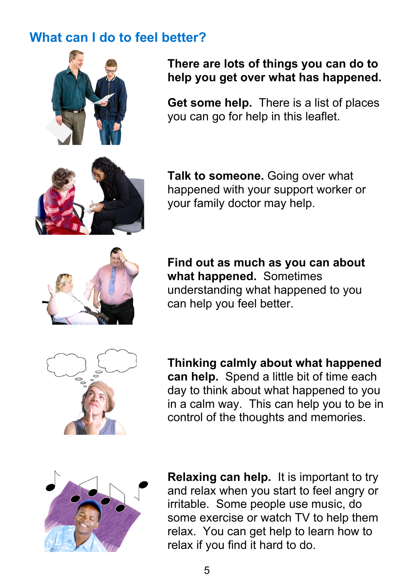# <span id="page-4-0"></span>**What can I do to feel better?**



#### **There are lots of things you can do to help you get over what has happened.**

**Get some help.** There is a list of places you can go for help in this leaflet.

**Talk to someone.** Going over what happened with your support worker or your family doctor may help.



**Find out as much as you can about what happened.** Sometimes understanding what happened to you can help you feel better.



**Thinking calmly about what happened can help.** Spend a little bit of time each day to think about what happened to you in a calm way. This can help you to be in control of the thoughts and memories.



**Relaxing can help.** It is important to try and relax when you start to feel angry or irritable. Some people use music, do some exercise or watch TV to help them relax. You can get help to learn how to relax if you find it hard to do.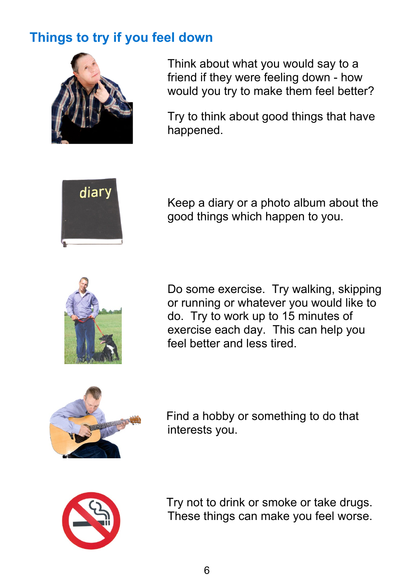# <span id="page-5-0"></span>**Things to try if you feel down**



Think about what you would say to a friend if they were feeling down - how would you try to make them feel better?

Try to think about good things that have happened.



Keep a diary or a photo album about the good things which happen to you.



Do some exercise. Try walking, skipping or running or whatever you would like to do. Try to work up to 15 minutes of exercise each day. This can help you feel better and less tired.



Find a hobby or something to do that interests you.



Try not to drink or smoke or take drugs. These things can make you feel worse.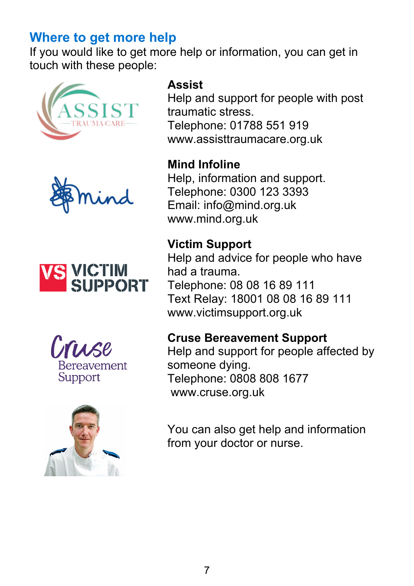# <span id="page-6-0"></span>**Where to get more help**

If you would like to get more help or information, you can get in touch with these people:











#### **Assist**

Help and support for people with post traumatic stress. Telephone: 01788 551 919 www.assisttraumacare.org.uk

#### **Mind Infoline**

Help, information and support. Telephone: 0300 123 3393 Email: info@mind.org.uk www.mind.org.uk

## **Victim Support**

Help and advice for people who have had a trauma. Telephone: 08 08 16 89 111 Text Relay: 18001 08 08 16 89 111 www.victimsupport.org.uk

#### **Cruse Bereavement Support**

Help and support for people affected by someone dying. Telephone: 0808 808 1677 www.cruse.org.uk

You can also get help and information from your doctor or nurse.